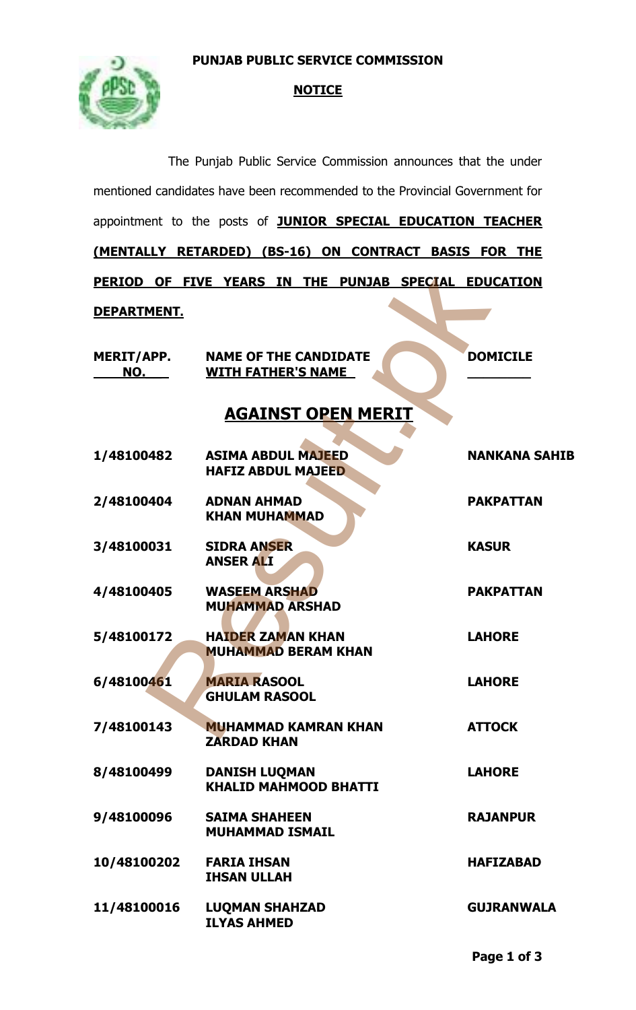### **PUNJAB PUBLIC SERVICE COMMISSION**



## **NOTICE**

|                    | The Punjab Public Service Commission announces that the under               |                      |  |
|--------------------|-----------------------------------------------------------------------------|----------------------|--|
|                    | mentioned candidates have been recommended to the Provincial Government for |                      |  |
|                    | appointment to the posts of <b>JUNIOR SPECIAL EDUCATION TEACHER</b>         |                      |  |
|                    | (MENTALLY RETARDED) (BS-16) ON CONTRACT BASIS FOR THE                       |                      |  |
|                    | PERIOD OF FIVE YEARS IN THE PUNJAB SPECIAL EDUCATION                        |                      |  |
| <u>DEPARTMENT.</u> |                                                                             |                      |  |
| MERIT/APP.<br>NO.  | <b>NAME OF THE CANDIDATE</b><br><b>WITH FATHER'S NAME</b>                   | <b>DOMICILE</b>      |  |
|                    | <b>AGAINST OPEN MERIT</b>                                                   |                      |  |
| 1/48100482         | <b>ASIMA ABDUL MAJEED</b><br><b>HAFIZ ABDUL MAJEED</b>                      | <b>NANKANA SAHIB</b> |  |
| 2/48100404         | <b>ADNAN AHMAD</b><br><b>KHAN MUHAMMAD</b>                                  | <b>PAKPATTAN</b>     |  |
| 3/48100031         | <b>SIDRA ANSER</b><br><b>ANSER ALI</b>                                      | <b>KASUR</b>         |  |
| 4/48100405         | <b>WASEEM ARSHAD</b><br><b>MUHAMMAD ARSHAD</b>                              | <b>PAKPATTAN</b>     |  |
| 5/48100172         | <b>HAIDER ZAMAN KHAN</b><br><b>MUHAMMAD BERAM KHAN</b>                      | <b>LAHORE</b>        |  |
| 6/48100461         | <b>MARIA RASOOL</b><br><b>GHULAM RASOOL</b>                                 | <b>LAHORE</b>        |  |
| 7/48100143         | <b>MUHAMMAD KAMRAN KHAN</b><br><b>ZARDAD KHAN</b>                           | <b>ATTOCK</b>        |  |
| 8/48100499         | <b>DANISH LUQMAN</b><br><b>KHALID MAHMOOD BHATTI</b>                        | <b>LAHORE</b>        |  |
| 9/48100096         | <b>SAIMA SHAHEEN</b><br><b>MUHAMMAD ISMAIL</b>                              | <b>RAJANPUR</b>      |  |
| 10/48100202        | <b>FARIA IHSAN</b><br><b>IHSAN ULLAH</b>                                    | <b>HAFIZABAD</b>     |  |
| 11/48100016        | <b>LUQMAN SHAHZAD</b><br><b>ILYAS AHMED</b>                                 | <b>GUJRANWALA</b>    |  |
|                    |                                                                             |                      |  |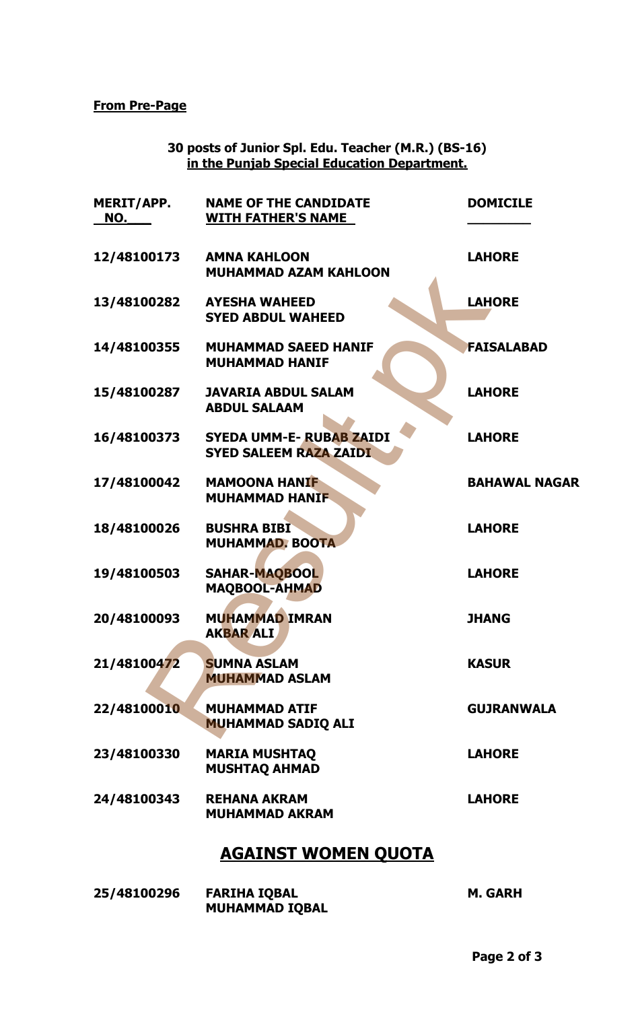#### **From Pre-Page**

#### **30 posts of Junior Spl. Edu. Teacher (M.R.) (BS-16) in the Punjab Special Education Department.**

| <b>MERIT/APP.</b><br>NO. | <b>NAME OF THE CANDIDATE</b><br><b>WITH FATHER'S NAME</b>        | <b>DOMICILE</b>      |
|--------------------------|------------------------------------------------------------------|----------------------|
| 12/48100173              | <b>AMNA KAHLOON</b><br><b>MUHAMMAD AZAM KAHLOON</b>              | <b>LAHORE</b>        |
| 13/48100282              | <b>AYESHA WAHEED</b><br><b>SYED ABDUL WAHEED</b>                 | <b>LAHORE</b>        |
| 14/48100355              | <b>MUHAMMAD SAEED HANIF</b><br><b>MUHAMMAD HANIF</b>             | <b>FAISALABAD</b>    |
| 15/48100287              | <b>JAVARIA ABDUL SALAM</b><br><b>ABDUL SALAAM</b>                | <b>LAHORE</b>        |
| 16/48100373              | <b>SYEDA UMM-E- RUBAB ZAIDI</b><br><b>SYED SALEEM RAZA ZAIDI</b> | <b>LAHORE</b>        |
| 17/48100042              | <b>MAMOONA HANIF</b><br><b>MUHAMMAD HANIF</b>                    | <b>BAHAWAL NAGAR</b> |
| 18/48100026              | <b>BUSHRA BIBI</b><br><b>MUHAMMAD. BOOTA</b>                     | <b>LAHORE</b>        |
| 19/48100503              | <b>SAHAR-MAQBOOL</b><br><b>MAQBOOL-AHMAD</b>                     | <b>LAHORE</b>        |
| 20/48100093              | <b>MUHAMMAD IMRAN</b><br><b>AKBAR ALI</b>                        | <b>JHANG</b>         |
| 21/48100472              | <b>SUMNA ASLAM</b><br><b>MUHAMMAD ASLAM</b>                      | <b>KASUR</b>         |
| 22/48100010              | <b>MUHAMMAD ATIF</b><br><b>MUHAMMAD SADIQ ALI</b>                | <b>GUJRANWALA</b>    |
| 23/48100330              | <b>MARIA MUSHTAQ</b><br><b>MUSHTAQ AHMAD</b>                     | <b>LAHORE</b>        |
| 24/48100343              | <b>REHANA AKRAM</b><br><b>MUHAMMAD AKRAM</b>                     | <b>LAHORE</b>        |
|                          | <b>AGAINST WOMEN QUOTA</b>                                       |                      |
| 25/48100296              | <b>FARIHA IQBAL</b><br><b>MUHAMMAD IQBAL</b>                     | <b>M. GARH</b>       |

# **AGAINST WOMEN QUOTA**

| 25/48100296 | <b>FARIHA IQBAL</b>   | M. GARH |
|-------------|-----------------------|---------|
|             | <b>MUHAMMAD IQBAL</b> |         |